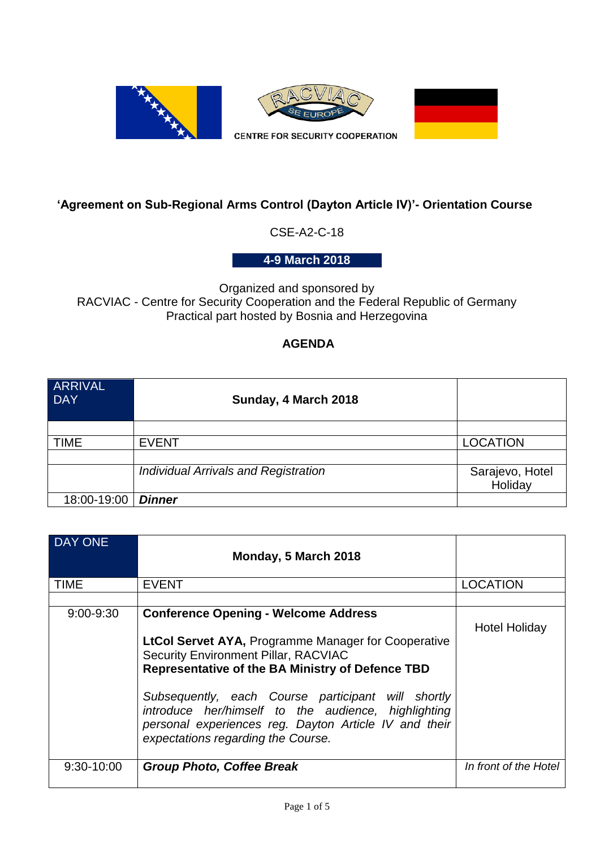

## **'Agreement on Sub-Regional Arms Control (Dayton Article IV)'- Orientation Course**

CSE-A2-C-18

**4-9 March 2018**

Organized and sponsored by RACVIAC - Centre for Security Cooperation and the Federal Republic of Germany Practical part hosted by Bosnia and Herzegovina

## **AGENDA**

| <b>ARRIVAL</b><br><b>DAY</b> | Sunday, 4 March 2018                        |                 |
|------------------------------|---------------------------------------------|-----------------|
|                              |                                             |                 |
| <b>TIME</b>                  | <b>EVENT</b>                                | <b>LOCATION</b> |
|                              |                                             |                 |
|                              | <b>Individual Arrivals and Registration</b> | Sarajevo, Hotel |
|                              |                                             | Holiday         |
| 18:00-19:00                  | <b>Dinner</b>                               |                 |

| DAY ONE      | Monday, 5 March 2018                                                                                                                                                                                                                                                                                                                                                                                                     |                       |
|--------------|--------------------------------------------------------------------------------------------------------------------------------------------------------------------------------------------------------------------------------------------------------------------------------------------------------------------------------------------------------------------------------------------------------------------------|-----------------------|
| <b>TIME</b>  | <b>EVENT</b>                                                                                                                                                                                                                                                                                                                                                                                                             | <b>LOCATION</b>       |
|              |                                                                                                                                                                                                                                                                                                                                                                                                                          |                       |
| 9:00-9:30    | <b>Conference Opening - Welcome Address</b><br><b>LtCol Servet AYA, Programme Manager for Cooperative</b><br><b>Security Environment Pillar, RACVIAC</b><br>Representative of the BA Ministry of Defence TBD<br>Subsequently, each Course participant will shortly<br>introduce her/himself to the audience, highlighting<br>personal experiences reg. Dayton Article IV and their<br>expectations regarding the Course. | <b>Hotel Holiday</b>  |
| $9:30-10:00$ | <b>Group Photo, Coffee Break</b>                                                                                                                                                                                                                                                                                                                                                                                         | In front of the Hotel |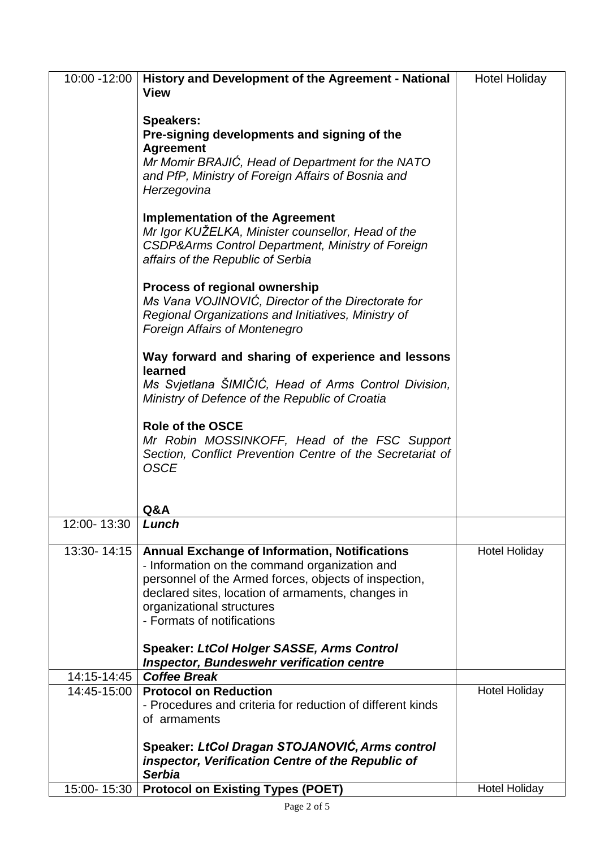| 10:00 -12:00 | History and Development of the Agreement - National<br><b>View</b>                                                                                                                                                                                                             | <b>Hotel Holiday</b> |
|--------------|--------------------------------------------------------------------------------------------------------------------------------------------------------------------------------------------------------------------------------------------------------------------------------|----------------------|
|              | <b>Speakers:</b><br>Pre-signing developments and signing of the<br><b>Agreement</b><br>Mr Momir BRAJIC, Head of Department for the NATO<br>and PfP, Ministry of Foreign Affairs of Bosnia and<br>Herzegovina                                                                   |                      |
|              | <b>Implementation of the Agreement</b><br>Mr Igor KUŽELKA, Minister counsellor, Head of the<br>CSDP&Arms Control Department, Ministry of Foreign<br>affairs of the Republic of Serbia                                                                                          |                      |
|              | Process of regional ownership<br>Ms Vana VOJINOVIĆ, Director of the Directorate for<br>Regional Organizations and Initiatives, Ministry of<br><b>Foreign Affairs of Montenegro</b>                                                                                             |                      |
|              | Way forward and sharing of experience and lessons                                                                                                                                                                                                                              |                      |
|              | learned<br>Ms Svjetlana ŠIMIČIĆ, Head of Arms Control Division,<br>Ministry of Defence of the Republic of Croatia                                                                                                                                                              |                      |
|              | <b>Role of the OSCE</b><br>Mr Robin MOSSINKOFF, Head of the FSC Support<br>Section, Conflict Prevention Centre of the Secretariat of<br><b>OSCE</b>                                                                                                                            |                      |
|              | Q&A                                                                                                                                                                                                                                                                            |                      |
| 12:00- 13:30 | Lunch                                                                                                                                                                                                                                                                          |                      |
| 13:30-14:15  | <b>Annual Exchange of Information, Notifications</b><br>- Information on the command organization and<br>personnel of the Armed forces, objects of inspection,<br>declared sites, location of armaments, changes in<br>organizational structures<br>- Formats of notifications | <b>Hotel Holiday</b> |
|              | <b>Speaker: LtCol Holger SASSE, Arms Control</b><br><b>Inspector, Bundeswehr verification centre</b>                                                                                                                                                                           |                      |
| 14:15-14:45  | <b>Coffee Break</b>                                                                                                                                                                                                                                                            |                      |
| 14:45-15:00  | <b>Protocol on Reduction</b><br>- Procedures and criteria for reduction of different kinds<br>of armaments                                                                                                                                                                     | <b>Hotel Holiday</b> |
|              | Speaker: LtCol Dragan STOJANOVIĆ, Arms control<br>inspector, Verification Centre of the Republic of<br><b>Serbia</b>                                                                                                                                                           |                      |
| 15:00-15:30  | <b>Protocol on Existing Types (POET)</b>                                                                                                                                                                                                                                       | <b>Hotel Holiday</b> |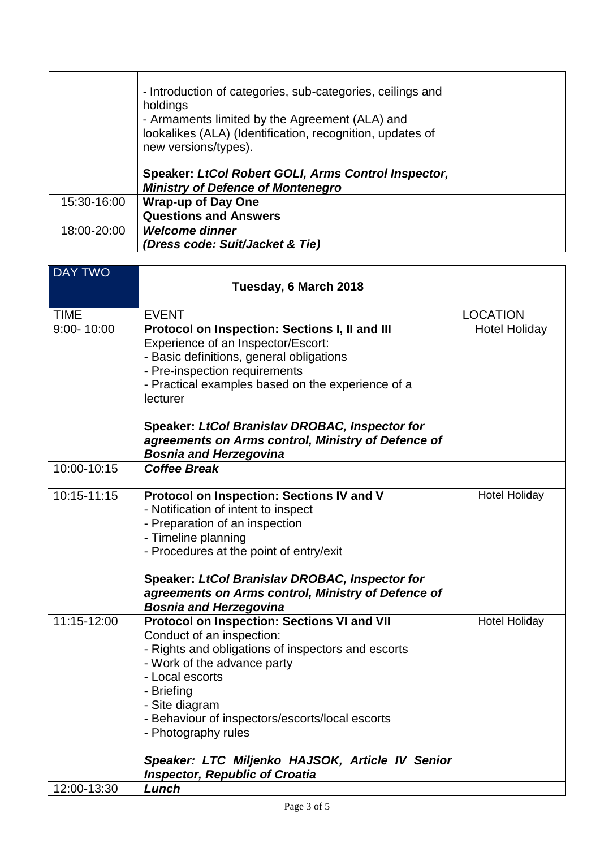|             | - Introduction of categories, sub-categories, ceilings and<br>holdings<br>- Armaments limited by the Agreement (ALA) and<br>lookalikes (ALA) (Identification, recognition, updates of<br>new versions/types). |  |
|-------------|---------------------------------------------------------------------------------------------------------------------------------------------------------------------------------------------------------------|--|
|             | Speaker: LtCol Robert GOLI, Arms Control Inspector,<br><b>Ministry of Defence of Montenegro</b>                                                                                                               |  |
| 15:30-16:00 | <b>Wrap-up of Day One</b><br><b>Questions and Answers</b>                                                                                                                                                     |  |
| 18:00-20:00 | Welcome dinner<br>(Dress code: Suit/Jacket & Tie)                                                                                                                                                             |  |

| <b>DAY TWO</b> |                                                                                                                                                                                                                                                                                                                                                                                        |                      |
|----------------|----------------------------------------------------------------------------------------------------------------------------------------------------------------------------------------------------------------------------------------------------------------------------------------------------------------------------------------------------------------------------------------|----------------------|
|                | Tuesday, 6 March 2018                                                                                                                                                                                                                                                                                                                                                                  |                      |
| <b>TIME</b>    | <b>EVENT</b>                                                                                                                                                                                                                                                                                                                                                                           | <b>LOCATION</b>      |
| $9:00 - 10:00$ | Protocol on Inspection: Sections I, II and III<br>Experience of an Inspector/Escort:<br>- Basic definitions, general obligations<br>- Pre-inspection requirements<br>- Practical examples based on the experience of a<br>lecturer<br>Speaker: LtCol Branislav DROBAC, Inspector for<br>agreements on Arms control, Ministry of Defence of                                             | <b>Hotel Holiday</b> |
|                | <b>Bosnia and Herzegovina</b>                                                                                                                                                                                                                                                                                                                                                          |                      |
| 10:00-10:15    | <b>Coffee Break</b>                                                                                                                                                                                                                                                                                                                                                                    |                      |
| 10:15-11:15    | Protocol on Inspection: Sections IV and V<br>- Notification of intent to inspect<br>- Preparation of an inspection<br>- Timeline planning<br>- Procedures at the point of entry/exit<br>Speaker: LtCol Branislav DROBAC, Inspector for<br>agreements on Arms control, Ministry of Defence of<br><b>Bosnia and Herzegovina</b>                                                          | <b>Hotel Holiday</b> |
| 11:15-12:00    | Protocol on Inspection: Sections VI and VII<br>Conduct of an inspection:<br>- Rights and obligations of inspectors and escorts<br>- Work of the advance party<br>- Local escorts<br>- Briefing<br>- Site diagram<br>- Behaviour of inspectors/escorts/local escorts<br>- Photography rules<br>Speaker: LTC Miljenko HAJSOK, Article IV Senior<br><b>Inspector, Republic of Croatia</b> | <b>Hotel Holiday</b> |
| 12:00-13:30    | Lunch                                                                                                                                                                                                                                                                                                                                                                                  |                      |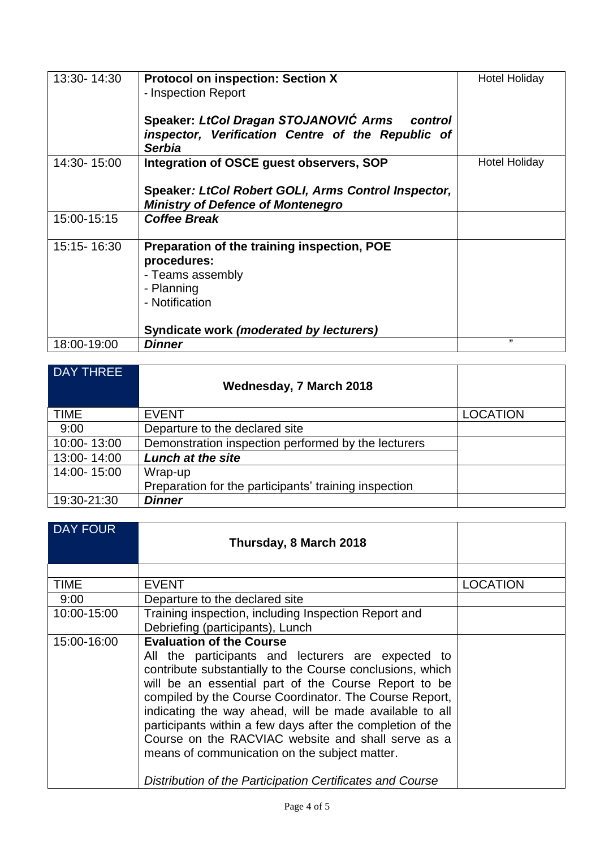| 13:30-14:30 | <b>Protocol on inspection: Section X</b><br>- Inspection Report<br>Speaker: LtCol Dragan STOJANOVIĆ Arms control<br>inspector, Verification Centre of the Republic of<br><b>Serbia</b> | <b>Hotel Holiday</b> |
|-------------|----------------------------------------------------------------------------------------------------------------------------------------------------------------------------------------|----------------------|
| 14:30-15:00 | Integration of OSCE guest observers, SOP<br>Speaker: LtCol Robert GOLI, Arms Control Inspector,<br><b>Ministry of Defence of Montenegro</b>                                            | <b>Hotel Holiday</b> |
| 15:00-15:15 | <b>Coffee Break</b>                                                                                                                                                                    |                      |
| 15:15-16:30 | Preparation of the training inspection, POE<br>procedures:<br>- Teams assembly<br>- Planning<br>- Notification<br>Syndicate work (moderated by lecturers)                              |                      |
| 18:00-19:00 | <b>Dinner</b>                                                                                                                                                                          | ,,                   |

| <b>DAY THREE</b> | Wednesday, 7 March 2018                               |                 |
|------------------|-------------------------------------------------------|-----------------|
| <b>TIME</b>      | <b>EVENT</b>                                          | <b>LOCATION</b> |
| 9:00             | Departure to the declared site                        |                 |
| 10:00-13:00      | Demonstration inspection performed by the lecturers   |                 |
| 13:00-14:00      | <b>Lunch at the site</b>                              |                 |
| 14:00-15:00      | Wrap-up                                               |                 |
|                  | Preparation for the participants' training inspection |                 |
| 19:30-21:30      | <b>Dinner</b>                                         |                 |

| <b>DAY FOUR</b> | Thursday, 8 March 2018                                                                                                                                                                                                                                                                                                                                                                                                                                                                                                                                            |                 |
|-----------------|-------------------------------------------------------------------------------------------------------------------------------------------------------------------------------------------------------------------------------------------------------------------------------------------------------------------------------------------------------------------------------------------------------------------------------------------------------------------------------------------------------------------------------------------------------------------|-----------------|
|                 |                                                                                                                                                                                                                                                                                                                                                                                                                                                                                                                                                                   |                 |
| TIME            | <b>EVENT</b>                                                                                                                                                                                                                                                                                                                                                                                                                                                                                                                                                      | <b>LOCATION</b> |
| 9:00            | Departure to the declared site                                                                                                                                                                                                                                                                                                                                                                                                                                                                                                                                    |                 |
| 10:00-15:00     | Training inspection, including Inspection Report and                                                                                                                                                                                                                                                                                                                                                                                                                                                                                                              |                 |
|                 | Debriefing (participants), Lunch                                                                                                                                                                                                                                                                                                                                                                                                                                                                                                                                  |                 |
| 15:00-16:00     | <b>Evaluation of the Course</b><br>All the participants and lecturers are expected to<br>contribute substantially to the Course conclusions, which<br>will be an essential part of the Course Report to be<br>compiled by the Course Coordinator. The Course Report,<br>indicating the way ahead, will be made available to all<br>participants within a few days after the completion of the<br>Course on the RACVIAC website and shall serve as a<br>means of communication on the subject matter.<br>Distribution of the Participation Certificates and Course |                 |